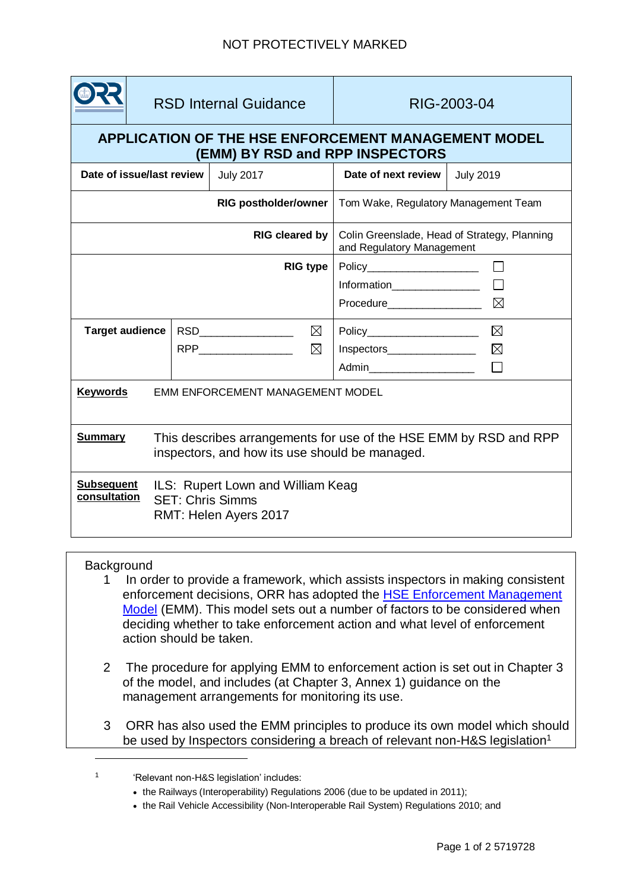|                                                                                                                                       | <b>RSD Internal Guidance</b>                                                          |  |                  |                                      | RIG-2003-04                                                                                                    |                            |
|---------------------------------------------------------------------------------------------------------------------------------------|---------------------------------------------------------------------------------------|--|------------------|--------------------------------------|----------------------------------------------------------------------------------------------------------------|----------------------------|
| APPLICATION OF THE HSE ENFORCEMENT MANAGEMENT MODEL<br>(EMM) BY RSD and RPP INSPECTORS                                                |                                                                                       |  |                  |                                      |                                                                                                                |                            |
| Date of issue/last review                                                                                                             |                                                                                       |  | <b>July 2017</b> |                                      | Date of next review                                                                                            | <b>July 2019</b>           |
| <b>RIG postholder/owner</b>                                                                                                           |                                                                                       |  |                  | Tom Wake, Regulatory Management Team |                                                                                                                |                            |
| <b>RIG cleared by</b>                                                                                                                 |                                                                                       |  |                  |                                      | Colin Greenslade, Head of Strategy, Planning<br>and Regulatory Management                                      |                            |
| <b>RIG type</b>                                                                                                                       |                                                                                       |  |                  |                                      | Policy_______________________<br>$\boxtimes$<br>Procedure___________________                                   |                            |
| <b>Target audience</b>                                                                                                                |                                                                                       |  |                  | $\boxtimes$<br>$\boxtimes$           | Policy_______________________<br>$Inspectors$ $\qquad \qquad \qquad \qquad$<br>Admin__________________________ | $\boxtimes$<br>$\boxtimes$ |
| <b>Keywords</b><br>EMM ENFORCEMENT MANAGEMENT MODEL                                                                                   |                                                                                       |  |                  |                                      |                                                                                                                |                            |
| <b>Summary</b><br>This describes arrangements for use of the HSE EMM by RSD and RPP<br>inspectors, and how its use should be managed. |                                                                                       |  |                  |                                      |                                                                                                                |                            |
| <b>Subsequent</b><br>consultation                                                                                                     | ILS: Rupert Lown and William Keag<br><b>SET: Chris Simms</b><br>RMT: Helen Ayers 2017 |  |                  |                                      |                                                                                                                |                            |

## **Background**

l

- 1 In order to provide a framework, which assists inspectors in making consistent enforcement decisions, ORR has adopted the [HSE Enforcement Management](http://www.hse.gov.uk/enforce/emm.pdf)  [Model](http://www.hse.gov.uk/enforce/emm.pdf) (EMM). This model sets out a number of factors to be considered when deciding whether to take enforcement action and what level of enforcement action should be taken.
- 2 The procedure for applying EMM to enforcement action is set out in Chapter 3 of the model, and includes (at Chapter 3, Annex 1) guidance on the management arrangements for monitoring its use.
- 3 ORR has also used the EMM principles to produce its own model which should be used by Inspectors considering a breach of relevant non-H&S legislation<sup>1</sup>

<sup>1</sup> 'Relevant non-H&S legislation' includes:

<sup>•</sup> the Railways (Interoperability) Regulations 2006 (due to be updated in 2011);

the Rail Vehicle Accessibility (Non-Interoperable Rail System) Regulations 2010; and